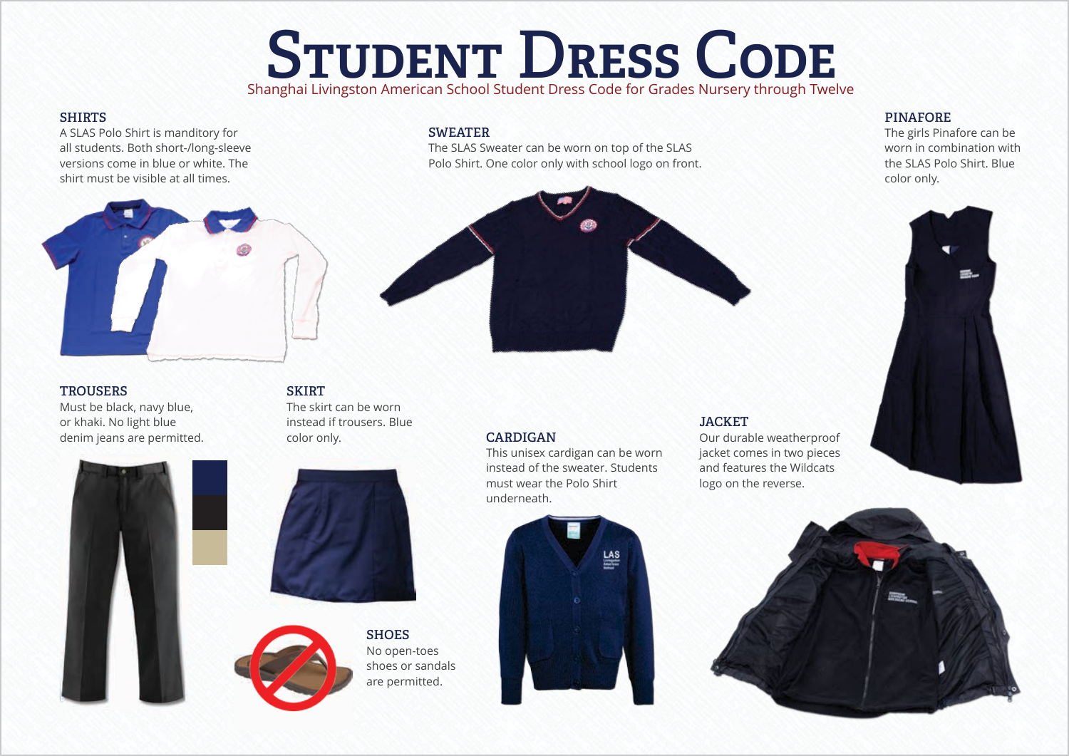# STUDENT DRESS CODE

## Shanghai Livingston American School Student Dress Code for Grades Nursery through Twelve

The SLAS Sweater can be worn on top of the SLAS Polo Shirt. One color only with school logo on front.

#### **SHIRTS**

A SLAS Polo Shirt is manditory for all students. Both short-/long-sleeve versions come in blue or white. The shirt must be visible at all times.



**SWEATER**

### **PINAFORE**

The girls Pinafore can be worn in combination with the SLAS Polo Shirt. Blue color only.



#### **TROUSERS**

Must be black, navy blue, or khaki. No light blue denim jeans are permitted.

### **SKIRT** The skirt can be worn

instead if trousers. Blue color only.







This unisex cardigan can be worn instead of the sweater. Students must wear the Polo Shirt underneath.



## Our durable weatherproof

**JACKET**

jacket comes in two pieces and features the Wildcats logo on the reverse.